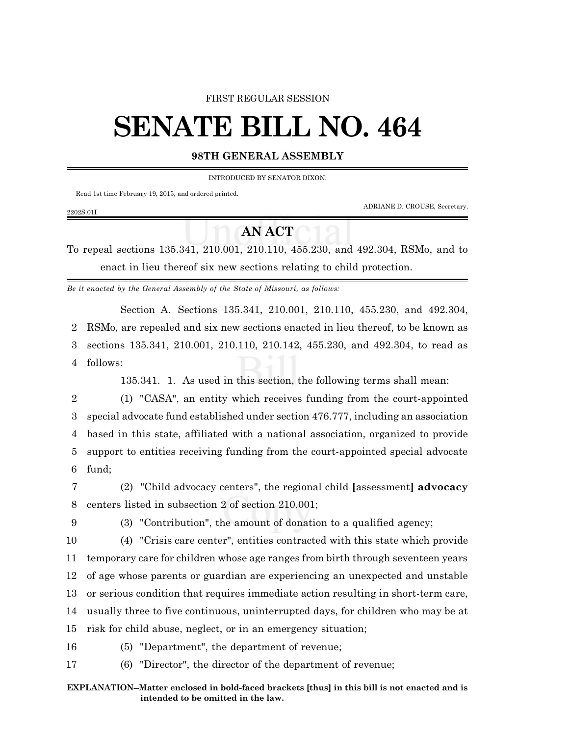## FIRST REGULAR SESSION

## **SENATE BILL NO. 464**

## **98TH GENERAL ASSEMBLY**

INTRODUCED BY SENATOR DIXON.

Read 1st time February 19, 2015, and ordered printed.

ADRIANE D. CROUSE, Secretary.

## **AN ACT**

To repeal sections 135.341, 210.001, 210.110, 455.230, and 492.304, RSMo, and to enact in lieu thereof six new sections relating to child protection.

*Be it enacted by the General Assembly of the State of Missouri, as follows:*

Section A. Sections 135.341, 210.001, 210.110, 455.230, and 492.304, 2 RSMo, are repealed and six new sections enacted in lieu thereof, to be known as 3 sections 135.341, 210.001, 210.110, 210.142, 455.230, and 492.304, to read as 4 follows:

135.341. 1. As used in this section, the following terms shall mean:

 (1) "CASA", an entity which receives funding from the court-appointed special advocate fund established under section 476.777, including an association based in this state, affiliated with a national association, organized to provide support to entities receiving funding from the court-appointed special advocate 6 fund;

7 (2) "Child advocacy centers", the regional child **[**assessment**] advocacy** 8 centers listed in subsection 2 of section 210.001;

2202S.01I

9 (3) "Contribution", the amount of donation to a qualified agency;

 (4) "Crisis care center", entities contracted with this state which provide temporary care for children whose age ranges from birth through seventeen years of age whose parents or guardian are experiencing an unexpected and unstable or serious condition that requires immediate action resulting in short-term care, usually three to five continuous, uninterrupted days, for children who may be at risk for child abuse, neglect, or in an emergency situation;

16 (5) "Department", the department of revenue;

17 (6) "Director", the director of the department of revenue;

**EXPLANATION--Matter enclosed in bold-faced brackets [thus] in this bill is not enacted and is intended to be omitted in the law.**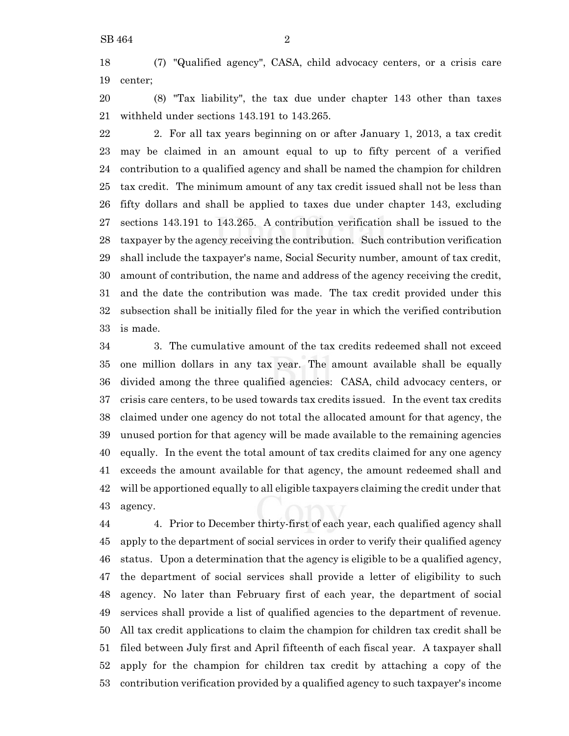(7) "Qualified agency", CASA, child advocacy centers, or a crisis care center;

 (8) "Tax liability", the tax due under chapter 143 other than taxes withheld under sections 143.191 to 143.265.

 2. For all tax years beginning on or after January 1, 2013, a tax credit may be claimed in an amount equal to up to fifty percent of a verified contribution to a qualified agency and shall be named the champion for children tax credit. The minimum amount of any tax credit issued shall not be less than fifty dollars and shall be applied to taxes due under chapter 143, excluding sections 143.191 to 143.265. A contribution verification shall be issued to the taxpayer by the agency receiving the contribution. Such contribution verification shall include the taxpayer's name, Social Security number, amount of tax credit, amount of contribution, the name and address of the agency receiving the credit, and the date the contribution was made. The tax credit provided under this subsection shall be initially filed for the year in which the verified contribution is made.

 3. The cumulative amount of the tax credits redeemed shall not exceed one million dollars in any tax year. The amount available shall be equally divided among the three qualified agencies: CASA, child advocacy centers, or crisis care centers, to be used towards tax credits issued. In the event tax credits claimed under one agency do not total the allocated amount for that agency, the unused portion for that agency will be made available to the remaining agencies equally. In the event the total amount of tax credits claimed for any one agency exceeds the amount available for that agency, the amount redeemed shall and will be apportioned equally to all eligible taxpayers claiming the credit under that agency.

 4. Prior to December thirty-first of each year, each qualified agency shall apply to the department of social services in order to verify their qualified agency status. Upon a determination that the agency is eligible to be a qualified agency, the department of social services shall provide a letter of eligibility to such agency. No later than February first of each year, the department of social services shall provide a list of qualified agencies to the department of revenue. All tax credit applications to claim the champion for children tax credit shall be filed between July first and April fifteenth of each fiscal year. A taxpayer shall apply for the champion for children tax credit by attaching a copy of the contribution verification provided by a qualified agency to such taxpayer's income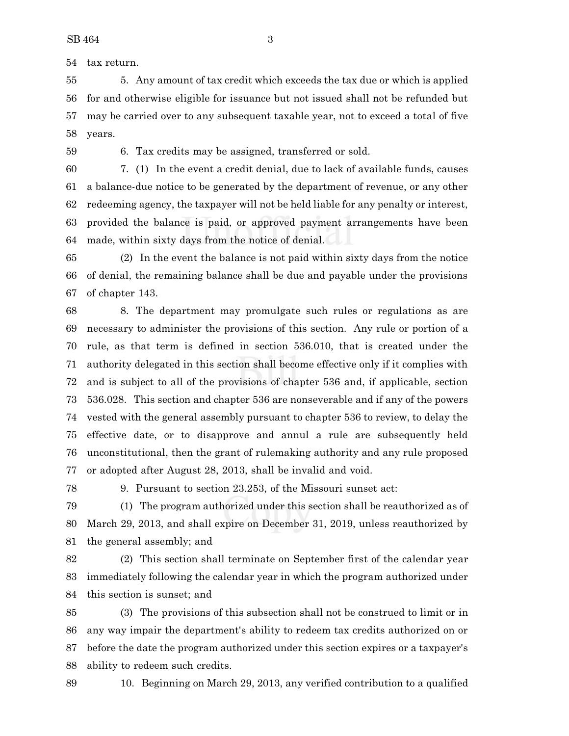tax return.

 5. Any amount of tax credit which exceeds the tax due or which is applied for and otherwise eligible for issuance but not issued shall not be refunded but may be carried over to any subsequent taxable year, not to exceed a total of five years.

6. Tax credits may be assigned, transferred or sold.

 7. (1) In the event a credit denial, due to lack of available funds, causes a balance-due notice to be generated by the department of revenue, or any other redeeming agency, the taxpayer will not be held liable for any penalty or interest, provided the balance is paid, or approved payment arrangements have been made, within sixty days from the notice of denial.

 (2) In the event the balance is not paid within sixty days from the notice of denial, the remaining balance shall be due and payable under the provisions of chapter 143.

 8. The department may promulgate such rules or regulations as are necessary to administer the provisions of this section. Any rule or portion of a rule, as that term is defined in section 536.010, that is created under the authority delegated in this section shall become effective only if it complies with and is subject to all of the provisions of chapter 536 and, if applicable, section 536.028. This section and chapter 536 are nonseverable and if any of the powers vested with the general assembly pursuant to chapter 536 to review, to delay the effective date, or to disapprove and annul a rule are subsequently held unconstitutional, then the grant of rulemaking authority and any rule proposed or adopted after August 28, 2013, shall be invalid and void.

9. Pursuant to section 23.253, of the Missouri sunset act:

 (1) The program authorized under this section shall be reauthorized as of March 29, 2013, and shall expire on December 31, 2019, unless reauthorized by the general assembly; and

 (2) This section shall terminate on September first of the calendar year immediately following the calendar year in which the program authorized under this section is sunset; and

 (3) The provisions of this subsection shall not be construed to limit or in any way impair the department's ability to redeem tax credits authorized on or before the date the program authorized under this section expires or a taxpayer's ability to redeem such credits.

10. Beginning on March 29, 2013, any verified contribution to a qualified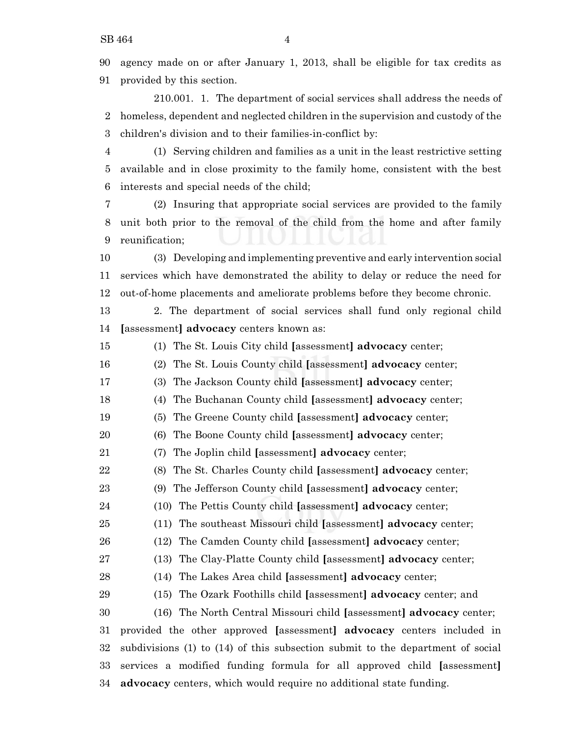agency made on or after January 1, 2013, shall be eligible for tax credits as provided by this section.

210.001. 1. The department of social services shall address the needs of homeless, dependent and neglected children in the supervision and custody of the children's division and to their families-in-conflict by:

 (1) Serving children and families as a unit in the least restrictive setting available and in close proximity to the family home, consistent with the best interests and special needs of the child;

 (2) Insuring that appropriate social services are provided to the family unit both prior to the removal of the child from the home and after family reunification;

 (3) Developing and implementing preventive and early intervention social services which have demonstrated the ability to delay or reduce the need for out-of-home placements and ameliorate problems before they become chronic.

 2. The department of social services shall fund only regional child **[**assessment**] advocacy** centers known as:

(1) The St. Louis City child **[**assessment**] advocacy** center;

(2) The St. Louis County child **[**assessment**] advocacy** center;

(3) The Jackson County child **[**assessment**] advocacy** center;

(4) The Buchanan County child **[**assessment**] advocacy** center;

(5) The Greene County child **[**assessment**] advocacy** center;

(6) The Boone County child **[**assessment**] advocacy** center;

(7) The Joplin child **[**assessment**] advocacy** center;

(8) The St. Charles County child **[**assessment**] advocacy** center;

(9) The Jefferson County child **[**assessment**] advocacy** center;

(10) The Pettis County child **[**assessment**] advocacy** center;

(11) The southeast Missouri child **[**assessment**] advocacy** center;

(12) The Camden County child **[**assessment**] advocacy** center;

(13) The Clay-Platte County child **[**assessment**] advocacy** center;

(14) The Lakes Area child **[**assessment**] advocacy** center;

(15) The Ozark Foothills child **[**assessment**] advocacy** center; and

 (16) The North Central Missouri child **[**assessment**] advocacy** center; provided the other approved **[**assessment**] advocacy** centers included in subdivisions (1) to (14) of this subsection submit to the department of social services a modified funding formula for all approved child **[**assessment**] advocacy** centers, which would require no additional state funding.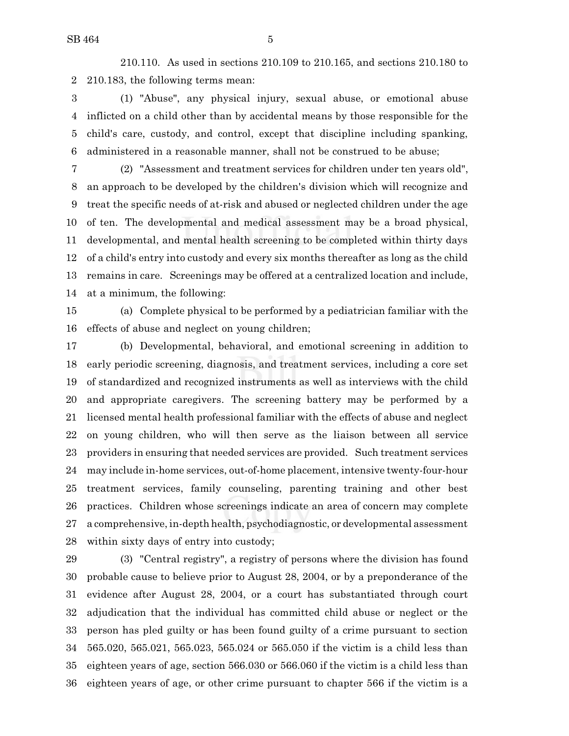210.110. As used in sections 210.109 to 210.165, and sections 210.180 to 210.183, the following terms mean:

 (1) "Abuse", any physical injury, sexual abuse, or emotional abuse inflicted on a child other than by accidental means by those responsible for the child's care, custody, and control, except that discipline including spanking, administered in a reasonable manner, shall not be construed to be abuse;

 (2) "Assessment and treatment services for children under ten years old", an approach to be developed by the children's division which will recognize and treat the specific needs of at-risk and abused or neglected children under the age of ten. The developmental and medical assessment may be a broad physical, developmental, and mental health screening to be completed within thirty days of a child's entry into custody and every six months thereafter as long as the child remains in care. Screenings may be offered at a centralized location and include, at a minimum, the following:

 (a) Complete physical to be performed by a pediatrician familiar with the effects of abuse and neglect on young children;

 (b) Developmental, behavioral, and emotional screening in addition to early periodic screening, diagnosis, and treatment services, including a core set of standardized and recognized instruments as well as interviews with the child and appropriate caregivers. The screening battery may be performed by a licensed mental health professional familiar with the effects of abuse and neglect on young children, who will then serve as the liaison between all service providers in ensuring that needed services are provided. Such treatment services may include in-home services, out-of-home placement, intensive twenty-four-hour treatment services, family counseling, parenting training and other best practices. Children whose screenings indicate an area of concern may complete a comprehensive, in-depth health, psychodiagnostic, or developmental assessment within sixty days of entry into custody;

 (3) "Central registry", a registry of persons where the division has found probable cause to believe prior to August 28, 2004, or by a preponderance of the evidence after August 28, 2004, or a court has substantiated through court adjudication that the individual has committed child abuse or neglect or the person has pled guilty or has been found guilty of a crime pursuant to section 565.020, 565.021, 565.023, 565.024 or 565.050 if the victim is a child less than eighteen years of age, section 566.030 or 566.060 if the victim is a child less than eighteen years of age, or other crime pursuant to chapter 566 if the victim is a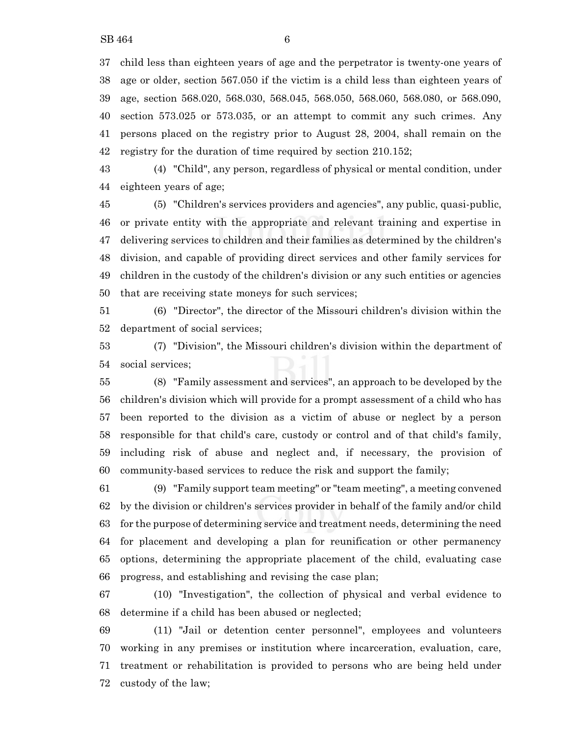child less than eighteen years of age and the perpetrator is twenty-one years of age or older, section 567.050 if the victim is a child less than eighteen years of age, section 568.020, 568.030, 568.045, 568.050, 568.060, 568.080, or 568.090, section 573.025 or 573.035, or an attempt to commit any such crimes. Any persons placed on the registry prior to August 28, 2004, shall remain on the registry for the duration of time required by section 210.152;

 (4) "Child", any person, regardless of physical or mental condition, under eighteen years of age;

 (5) "Children's services providers and agencies", any public, quasi-public, or private entity with the appropriate and relevant training and expertise in delivering services to children and their families as determined by the children's division, and capable of providing direct services and other family services for children in the custody of the children's division or any such entities or agencies that are receiving state moneys for such services;

 (6) "Director", the director of the Missouri children's division within the department of social services;

 (7) "Division", the Missouri children's division within the department of social services;

 (8) "Family assessment and services", an approach to be developed by the children's division which will provide for a prompt assessment of a child who has been reported to the division as a victim of abuse or neglect by a person responsible for that child's care, custody or control and of that child's family, including risk of abuse and neglect and, if necessary, the provision of community-based services to reduce the risk and support the family;

 (9) "Family support team meeting" or "team meeting", a meeting convened by the division or children's services provider in behalf of the family and/or child for the purpose of determining service and treatment needs, determining the need for placement and developing a plan for reunification or other permanency options, determining the appropriate placement of the child, evaluating case progress, and establishing and revising the case plan;

 (10) "Investigation", the collection of physical and verbal evidence to determine if a child has been abused or neglected;

 (11) "Jail or detention center personnel", employees and volunteers working in any premises or institution where incarceration, evaluation, care, treatment or rehabilitation is provided to persons who are being held under custody of the law;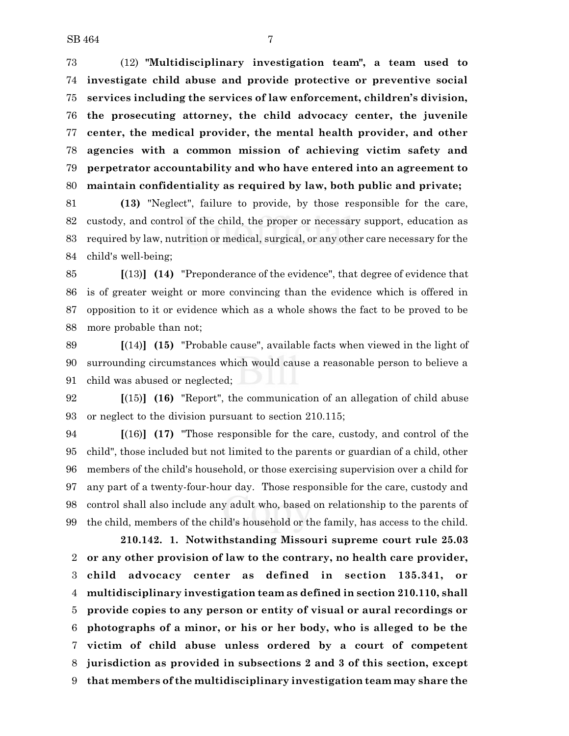(12) **"Multidisciplinary investigation team", a team used to investigate child abuse and provide protective or preventive social services including the services of law enforcement, children's division, the prosecuting attorney, the child advocacy center, the juvenile center, the medical provider, the mental health provider, and other agencies with a common mission of achieving victim safety and perpetrator accountability and who have entered into an agreement to maintain confidentiality as required by law, both public and private;**

 **(13)** "Neglect", failure to provide, by those responsible for the care, custody, and control of the child, the proper or necessary support, education as required by law, nutrition or medical, surgical, or any other care necessary for the child's well-being;

 **[**(13)**] (14)** "Preponderance of the evidence", that degree of evidence that is of greater weight or more convincing than the evidence which is offered in opposition to it or evidence which as a whole shows the fact to be proved to be more probable than not;

 **[**(14)**] (15)** "Probable cause", available facts when viewed in the light of surrounding circumstances which would cause a reasonable person to believe a child was abused or neglected;

 **[**(15)**] (16)** "Report", the communication of an allegation of child abuse or neglect to the division pursuant to section 210.115;

 **[**(16)**] (17)** "Those responsible for the care, custody, and control of the child", those included but not limited to the parents or guardian of a child, other members of the child's household, or those exercising supervision over a child for any part of a twenty-four-hour day. Those responsible for the care, custody and control shall also include any adult who, based on relationship to the parents of the child, members of the child's household or the family, has access to the child.

**210.142. 1. Notwithstanding Missouri supreme court rule 25.03 or any other provision of law to the contrary, no health care provider, child advocacy center as defined in section 135.341, or multidisciplinary investigation team as defined in section 210.110, shall provide copies to any person or entity of visual or aural recordings or photographs of a minor, or his or her body, who is alleged to be the victim of child abuse unless ordered by a court of competent jurisdiction as provided in subsections 2 and 3 of this section, except that members of the multidisciplinary investigation team may share the**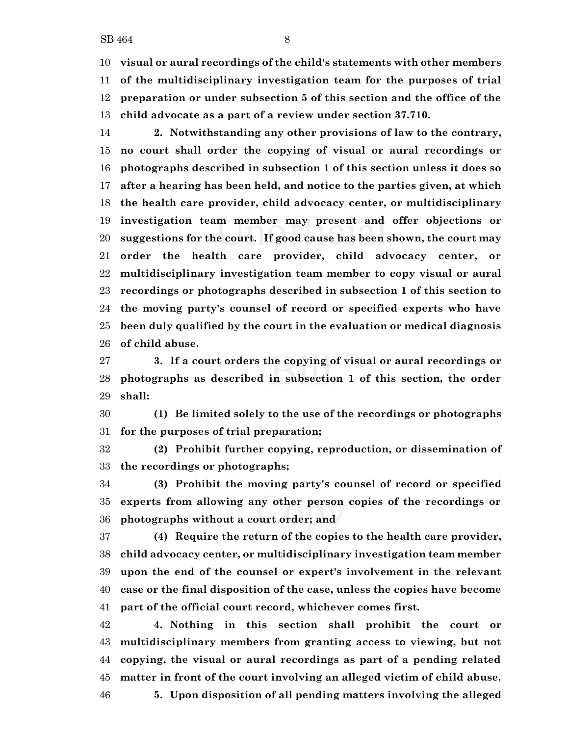**visual or aural recordings of the child's statements with other members of the multidisciplinary investigation team for the purposes of trial preparation or under subsection 5 of this section and the office of the**

 **2. Notwithstanding any other provisions of law to the contrary, no court shall order the copying of visual or aural recordings or photographs described in subsection 1 of this section unless it does so after a hearing has been held, and notice to the parties given, at which the health care provider, child advocacy center, or multidisciplinary investigation team member may present and offer objections or suggestions for the court. If good cause has been shown, the court may order the health care provider, child advocacy center, or multidisciplinary investigation team member to copy visual or aural recordings or photographs described in subsection 1 of this section to the moving party's counsel of record or specified experts who have been duly qualified by the court in the evaluation or medical diagnosis of child abuse.**

 **3. If a court orders the copying of visual or aural recordings or photographs as described in subsection 1 of this section, the order shall:**

 **(1) Be limited solely to the use of the recordings or photographs for the purposes of trial preparation;**

 **(2) Prohibit further copying, reproduction, or dissemination of the recordings or photographs;**

 **(3) Prohibit the moving party's counsel of record or specified experts from allowing any other person copies of the recordings or photographs without a court order; and**

 **(4) Require the return of the copies to the health care provider, child advocacy center, or multidisciplinary investigation team member upon the end of the counsel or expert's involvement in the relevant case or the final disposition of the case, unless the copies have become part of the official court record, whichever comes first.**

 **4. Nothing in this section shall prohibit the court or multidisciplinary members from granting access to viewing, but not copying, the visual or aural recordings as part of a pending related matter in front of the court involving an alleged victim of child abuse. 5. Upon disposition of all pending matters involving the alleged**

**child advocate as a part of a review under section 37.710.**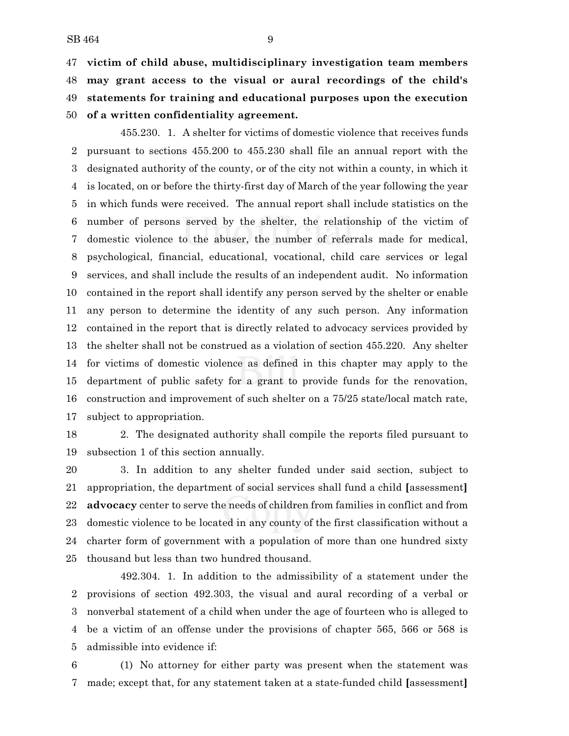$SB 464$  9

 **victim of child abuse, multidisciplinary investigation team members may grant access to the visual or aural recordings of the child's statements for training and educational purposes upon the execution of a written confidentiality agreement.**

455.230. 1. A shelter for victims of domestic violence that receives funds pursuant to sections 455.200 to 455.230 shall file an annual report with the designated authority of the county, or of the city not within a county, in which it is located, on or before the thirty-first day of March of the year following the year in which funds were received. The annual report shall include statistics on the number of persons served by the shelter, the relationship of the victim of domestic violence to the abuser, the number of referrals made for medical, psychological, financial, educational, vocational, child care services or legal services, and shall include the results of an independent audit. No information contained in the report shall identify any person served by the shelter or enable any person to determine the identity of any such person. Any information contained in the report that is directly related to advocacy services provided by the shelter shall not be construed as a violation of section 455.220. Any shelter for victims of domestic violence as defined in this chapter may apply to the department of public safety for a grant to provide funds for the renovation, construction and improvement of such shelter on a 75/25 state/local match rate, subject to appropriation.

 2. The designated authority shall compile the reports filed pursuant to subsection 1 of this section annually.

 3. In addition to any shelter funded under said section, subject to appropriation, the department of social services shall fund a child **[**assessment**] advocacy** center to serve the needs of children from families in conflict and from domestic violence to be located in any county of the first classification without a charter form of government with a population of more than one hundred sixty thousand but less than two hundred thousand.

492.304. 1. In addition to the admissibility of a statement under the provisions of section 492.303, the visual and aural recording of a verbal or nonverbal statement of a child when under the age of fourteen who is alleged to be a victim of an offense under the provisions of chapter 565, 566 or 568 is admissible into evidence if:

 (1) No attorney for either party was present when the statement was made; except that, for any statement taken at a state-funded child **[**assessment**]**